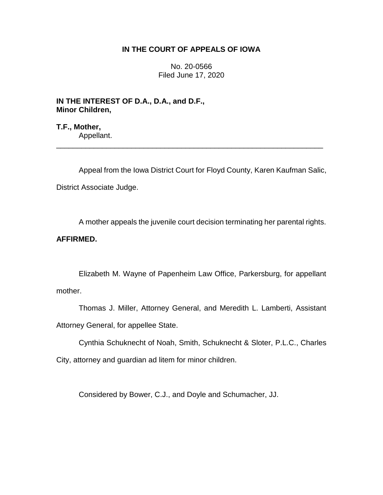# **IN THE COURT OF APPEALS OF IOWA**

No. 20-0566 Filed June 17, 2020

**IN THE INTEREST OF D.A., D.A., and D.F., Minor Children,**

**T.F., Mother,** Appellant. \_\_\_\_\_\_\_\_\_\_\_\_\_\_\_\_\_\_\_\_\_\_\_\_\_\_\_\_\_\_\_\_\_\_\_\_\_\_\_\_\_\_\_\_\_\_\_\_\_\_\_\_\_\_\_\_\_\_\_\_\_\_\_\_

Appeal from the Iowa District Court for Floyd County, Karen Kaufman Salic, District Associate Judge.

A mother appeals the juvenile court decision terminating her parental rights.

# **AFFIRMED.**

Elizabeth M. Wayne of Papenheim Law Office, Parkersburg, for appellant mother.

Thomas J. Miller, Attorney General, and Meredith L. Lamberti, Assistant Attorney General, for appellee State.

Cynthia Schuknecht of Noah, Smith, Schuknecht & Sloter, P.L.C., Charles City, attorney and guardian ad litem for minor children.

Considered by Bower, C.J., and Doyle and Schumacher, JJ.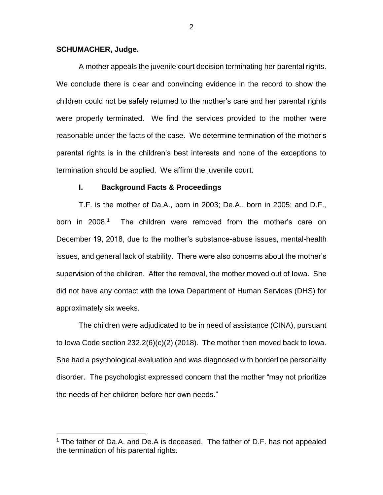### **SCHUMACHER, Judge.**

 $\overline{a}$ 

A mother appeals the juvenile court decision terminating her parental rights. We conclude there is clear and convincing evidence in the record to show the children could not be safely returned to the mother's care and her parental rights were properly terminated. We find the services provided to the mother were reasonable under the facts of the case. We determine termination of the mother's parental rights is in the children's best interests and none of the exceptions to termination should be applied. We affirm the juvenile court.

#### **I. Background Facts & Proceedings**

T.F. is the mother of Da.A., born in 2003; De.A., born in 2005; and D.F., born in 2008.<sup>1</sup> The children were removed from the mother's care on December 19, 2018, due to the mother's substance-abuse issues, mental-health issues, and general lack of stability. There were also concerns about the mother's supervision of the children. After the removal, the mother moved out of Iowa. She did not have any contact with the Iowa Department of Human Services (DHS) for approximately six weeks.

The children were adjudicated to be in need of assistance (CINA), pursuant to Iowa Code section 232.2(6)(c)(2) (2018). The mother then moved back to Iowa. She had a psychological evaluation and was diagnosed with borderline personality disorder. The psychologist expressed concern that the mother "may not prioritize the needs of her children before her own needs."

 $1$  The father of Da.A. and De.A is deceased. The father of D.F. has not appealed the termination of his parental rights.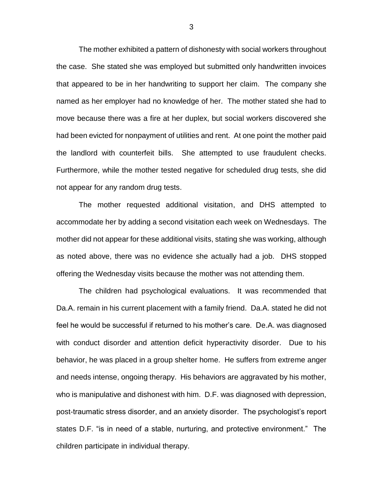The mother exhibited a pattern of dishonesty with social workers throughout the case. She stated she was employed but submitted only handwritten invoices that appeared to be in her handwriting to support her claim. The company she named as her employer had no knowledge of her. The mother stated she had to move because there was a fire at her duplex, but social workers discovered she had been evicted for nonpayment of utilities and rent. At one point the mother paid the landlord with counterfeit bills. She attempted to use fraudulent checks. Furthermore, while the mother tested negative for scheduled drug tests, she did not appear for any random drug tests.

The mother requested additional visitation, and DHS attempted to accommodate her by adding a second visitation each week on Wednesdays. The mother did not appear for these additional visits, stating she was working, although as noted above, there was no evidence she actually had a job. DHS stopped offering the Wednesday visits because the mother was not attending them.

The children had psychological evaluations. It was recommended that Da.A. remain in his current placement with a family friend. Da.A. stated he did not feel he would be successful if returned to his mother's care. De.A. was diagnosed with conduct disorder and attention deficit hyperactivity disorder. Due to his behavior, he was placed in a group shelter home. He suffers from extreme anger and needs intense, ongoing therapy. His behaviors are aggravated by his mother, who is manipulative and dishonest with him. D.F. was diagnosed with depression, post-traumatic stress disorder, and an anxiety disorder. The psychologist's report states D.F. "is in need of a stable, nurturing, and protective environment." The children participate in individual therapy.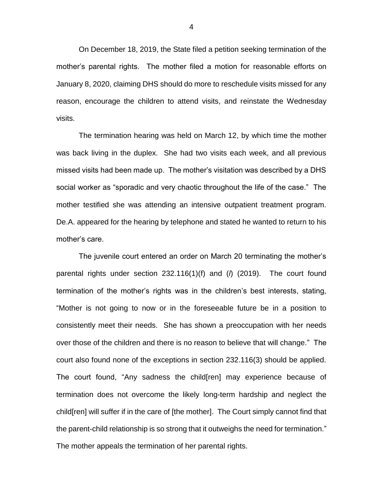On December 18, 2019, the State filed a petition seeking termination of the mother's parental rights. The mother filed a motion for reasonable efforts on January 8, 2020, claiming DHS should do more to reschedule visits missed for any reason, encourage the children to attend visits, and reinstate the Wednesday visits.

The termination hearing was held on March 12, by which time the mother was back living in the duplex. She had two visits each week, and all previous missed visits had been made up. The mother's visitation was described by a DHS social worker as "sporadic and very chaotic throughout the life of the case." The mother testified she was attending an intensive outpatient treatment program. De.A. appeared for the hearing by telephone and stated he wanted to return to his mother's care.

The juvenile court entered an order on March 20 terminating the mother's parental rights under section 232.116(1)(f) and (*l*) (2019). The court found termination of the mother's rights was in the children's best interests, stating, "Mother is not going to now or in the foreseeable future be in a position to consistently meet their needs. She has shown a preoccupation with her needs over those of the children and there is no reason to believe that will change." The court also found none of the exceptions in section 232.116(3) should be applied. The court found, "Any sadness the child[ren] may experience because of termination does not overcome the likely long-term hardship and neglect the child[ren] will suffer if in the care of [the mother]. The Court simply cannot find that the parent-child relationship is so strong that it outweighs the need for termination." The mother appeals the termination of her parental rights.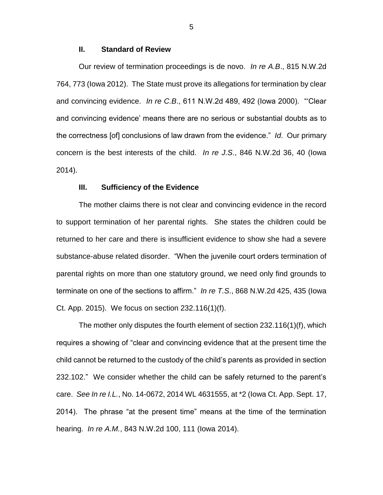### **II. Standard of Review**

Our review of termination proceedings is de novo. *In re A.B*., 815 N.W.2d 764, 773 (Iowa 2012). The State must prove its allegations for termination by clear and convincing evidence. *In re C.B*., 611 N.W.2d 489, 492 (Iowa 2000). "'Clear and convincing evidence' means there are no serious or substantial doubts as to the correctness [of] conclusions of law drawn from the evidence." *Id*. Our primary concern is the best interests of the child. *In re J.S*., 846 N.W.2d 36, 40 (Iowa 2014).

#### **III. Sufficiency of the Evidence**

The mother claims there is not clear and convincing evidence in the record to support termination of her parental rights. She states the children could be returned to her care and there is insufficient evidence to show she had a severe substance-abuse related disorder. "When the juvenile court orders termination of parental rights on more than one statutory ground, we need only find grounds to terminate on one of the sections to affirm." *In re T.S*., 868 N.W.2d 425, 435 (Iowa Ct. App. 2015). We focus on section 232.116(1)(f).

The mother only disputes the fourth element of section 232.116(1)(f), which requires a showing of "clear and convincing evidence that at the present time the child cannot be returned to the custody of the child's parents as provided in section 232.102." We consider whether the child can be safely returned to the parent's care. *See In re I.L.*, No. 14-0672, 2014 WL 4631555, at \*2 (Iowa Ct. App. Sept. 17, 2014). The phrase "at the present time" means at the time of the termination hearing. *In re A.M.*, 843 N.W.2d 100, 111 (Iowa 2014).

5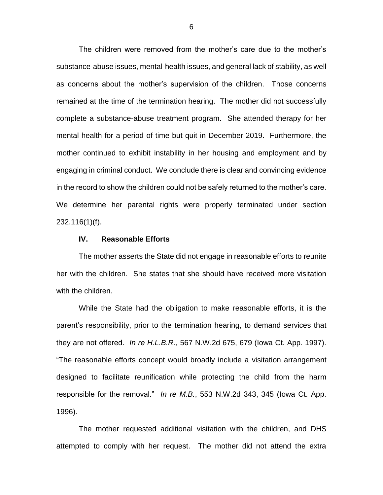The children were removed from the mother's care due to the mother's substance-abuse issues, mental-health issues, and general lack of stability, as well as concerns about the mother's supervision of the children. Those concerns remained at the time of the termination hearing. The mother did not successfully complete a substance-abuse treatment program. She attended therapy for her mental health for a period of time but quit in December 2019. Furthermore, the mother continued to exhibit instability in her housing and employment and by engaging in criminal conduct. We conclude there is clear and convincing evidence in the record to show the children could not be safely returned to the mother's care. We determine her parental rights were properly terminated under section 232.116(1)(f).

## **IV. Reasonable Efforts**

The mother asserts the State did not engage in reasonable efforts to reunite her with the children. She states that she should have received more visitation with the children.

While the State had the obligation to make reasonable efforts, it is the parent's responsibility, prior to the termination hearing, to demand services that they are not offered. *In re H.L.B.R*., 567 N.W.2d 675, 679 (Iowa Ct. App. 1997). "The reasonable efforts concept would broadly include a visitation arrangement designed to facilitate reunification while protecting the child from the harm responsible for the removal." *In re M.B.*, 553 N.W.2d 343, 345 (Iowa Ct. App. 1996).

The mother requested additional visitation with the children, and DHS attempted to comply with her request. The mother did not attend the extra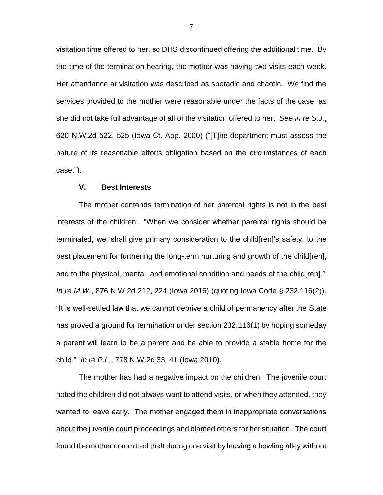visitation time offered to her, so DHS discontinued offering the additional time. By the time of the termination hearing, the mother was having two visits each week. Her attendance at visitation was described as sporadic and chaotic. We find the services provided to the mother were reasonable under the facts of the case, as she did not take full advantage of all of the visitation offered to her. *See In re S.J.*, 620 N.W.2d 522, 525 (Iowa Ct. App. 2000) ("[T]he department must assess the nature of its reasonable efforts obligation based on the circumstances of each case.").

## **V. Best Interests**

The mother contends termination of her parental rights is not in the best interests of the children. "When we consider whether parental rights should be terminated, we 'shall give primary consideration to the child[ren]'s safety, to the best placement for furthering the long-term nurturing and growth of the child[ren], and to the physical, mental, and emotional condition and needs of the child[ren].'" *In re M.W.*, 876 N.W.2d 212, 224 (Iowa 2016) (quoting Iowa Code § 232.116(2)). "It is well-settled law that we cannot deprive a child of permanency after the State has proved a ground for termination under section 232.116(1) by hoping someday a parent will learn to be a parent and be able to provide a stable home for the child." *In re P.L*., 778 N.W.2d 33, 41 (Iowa 2010).

The mother has had a negative impact on the children. The juvenile court noted the children did not always want to attend visits, or when they attended, they wanted to leave early. The mother engaged them in inappropriate conversations about the juvenile court proceedings and blamed others for her situation. The court found the mother committed theft during one visit by leaving a bowling alley without